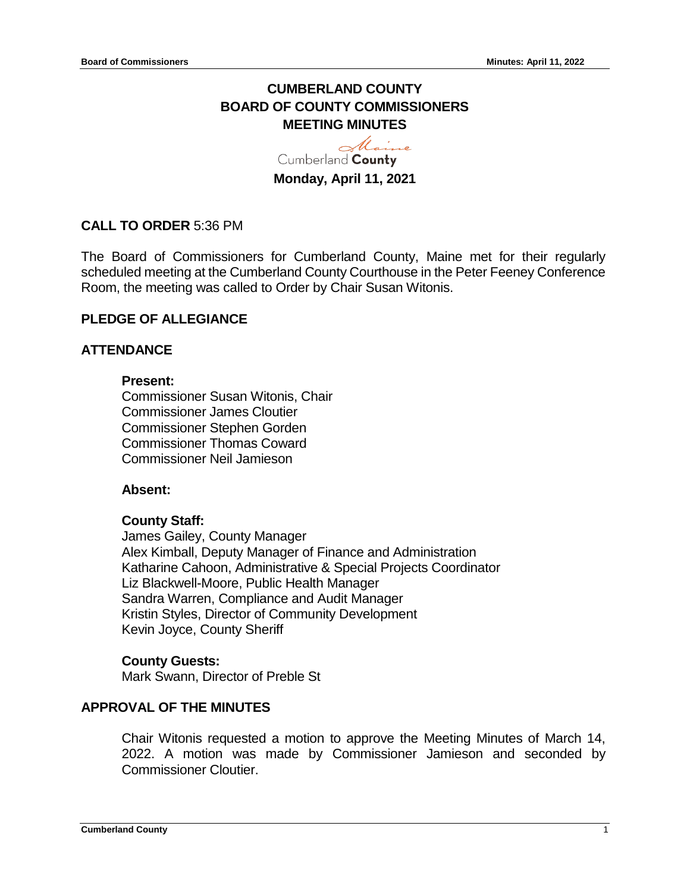# **CUMBERLAND COUNTY BOARD OF COUNTY COMMISSIONERS MEETING MINUTES**

Maine Cumberland County **Monday, April 11, 2021**

## **CALL TO ORDER** 5:36 PM

The Board of Commissioners for Cumberland County, Maine met for their regularly scheduled meeting at the Cumberland County Courthouse in the Peter Feeney Conference Room, the meeting was called to Order by Chair Susan Witonis.

## **PLEDGE OF ALLEGIANCE**

## **ATTENDANCE**

#### **Present:**

Commissioner Susan Witonis, Chair Commissioner James Cloutier Commissioner Stephen Gorden Commissioner Thomas Coward Commissioner Neil Jamieson

#### **Absent:**

## **County Staff:**

James Gailey, County Manager Alex Kimball, Deputy Manager of Finance and Administration Katharine Cahoon, Administrative & Special Projects Coordinator Liz Blackwell-Moore, Public Health Manager Sandra Warren, Compliance and Audit Manager Kristin Styles, Director of Community Development Kevin Joyce, County Sheriff

#### **County Guests:**

Mark Swann, Director of Preble St

## **APPROVAL OF THE MINUTES**

Chair Witonis requested a motion to approve the Meeting Minutes of March 14, 2022. A motion was made by Commissioner Jamieson and seconded by Commissioner Cloutier.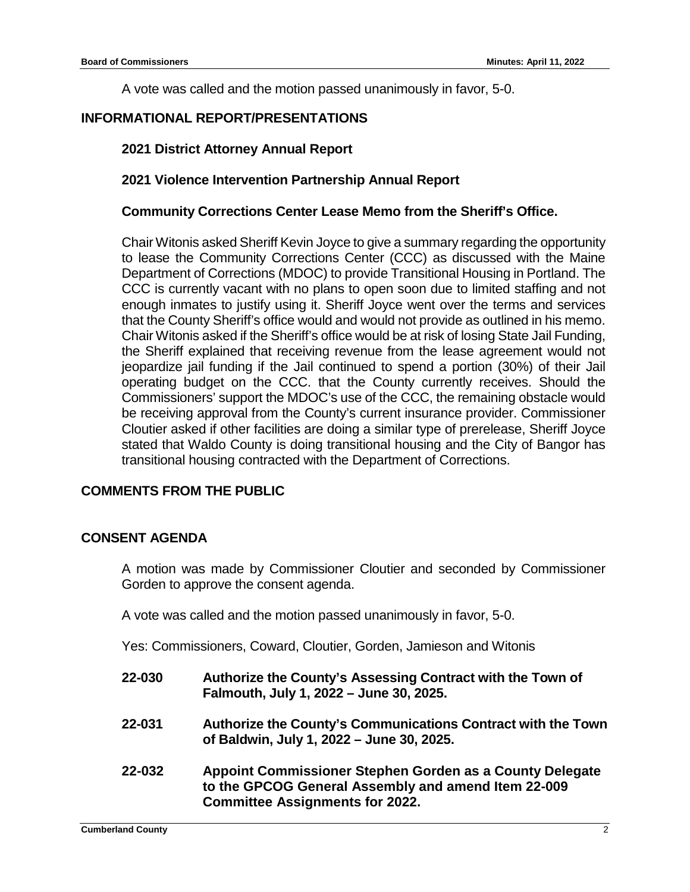A vote was called and the motion passed unanimously in favor, 5-0.

## **INFORMATIONAL REPORT/PRESENTATIONS**

## **2021 District Attorney Annual Report**

## **2021 Violence Intervention Partnership Annual Report**

### **Community Corrections Center Lease Memo from the Sheriff's Office.**

Chair Witonis asked Sheriff Kevin Joyce to give a summary regarding the opportunity to lease the Community Corrections Center (CCC) as discussed with the Maine Department of Corrections (MDOC) to provide Transitional Housing in Portland. The CCC is currently vacant with no plans to open soon due to limited staffing and not enough inmates to justify using it. Sheriff Joyce went over the terms and services that the County Sheriff's office would and would not provide as outlined in his memo. Chair Witonis asked if the Sheriff's office would be at risk of losing State Jail Funding, the Sheriff explained that receiving revenue from the lease agreement would not jeopardize jail funding if the Jail continued to spend a portion (30%) of their Jail operating budget on the CCC. that the County currently receives. Should the Commissioners' support the MDOC's use of the CCC, the remaining obstacle would be receiving approval from the County's current insurance provider. Commissioner Cloutier asked if other facilities are doing a similar type of prerelease, Sheriff Joyce stated that Waldo County is doing transitional housing and the City of Bangor has transitional housing contracted with the Department of Corrections.

## **COMMENTS FROM THE PUBLIC**

## **CONSENT AGENDA**

A motion was made by Commissioner Cloutier and seconded by Commissioner Gorden to approve the consent agenda.

A vote was called and the motion passed unanimously in favor, 5-0.

Yes: Commissioners, Coward, Cloutier, Gorden, Jamieson and Witonis

- **22-030 Authorize the County's Assessing Contract with the Town of Falmouth, July 1, 2022 – June 30, 2025.**
- **22-031 Authorize the County's Communications Contract with the Town of Baldwin, July 1, 2022 – June 30, 2025.**
- **22-032 Appoint Commissioner Stephen Gorden as a County Delegate to the GPCOG General Assembly and amend Item 22-009 Committee Assignments for 2022.**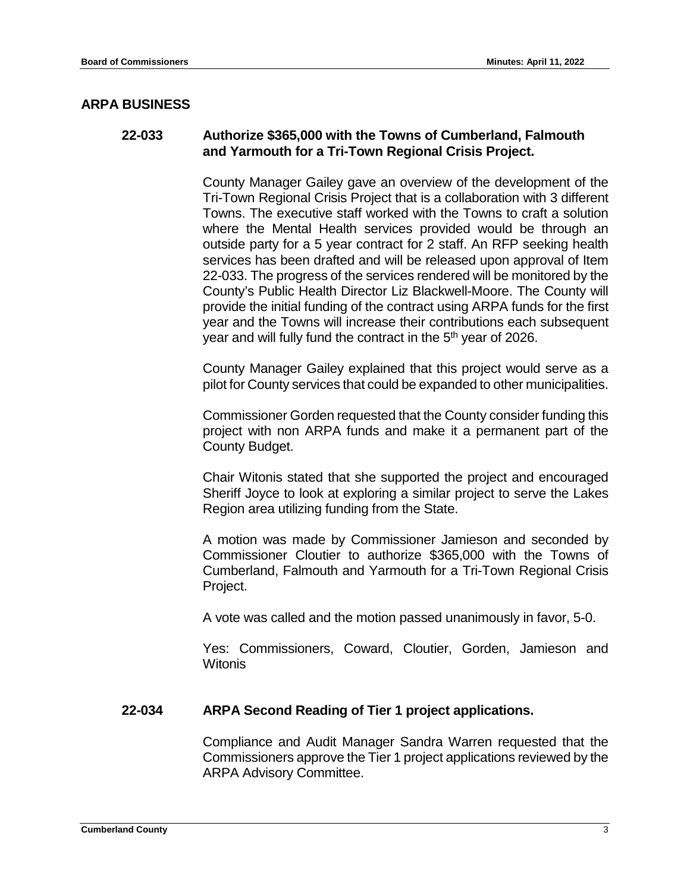### **ARPA BUSINESS**

#### **22-033 Authorize \$365,000 with the Towns of Cumberland, Falmouth and Yarmouth for a Tri-Town Regional Crisis Project.**

County Manager Gailey gave an overview of the development of the Tri-Town Regional Crisis Project that is a collaboration with 3 different Towns. The executive staff worked with the Towns to craft a solution where the Mental Health services provided would be through an outside party for a 5 year contract for 2 staff. An RFP seeking health services has been drafted and will be released upon approval of Item 22-033. The progress of the services rendered will be monitored by the County's Public Health Director Liz Blackwell-Moore. The County will provide the initial funding of the contract using ARPA funds for the first year and the Towns will increase their contributions each subsequent year and will fully fund the contract in the 5<sup>th</sup> year of 2026.

County Manager Gailey explained that this project would serve as a pilot for County services that could be expanded to other municipalities.

Commissioner Gorden requested that the County consider funding this project with non ARPA funds and make it a permanent part of the County Budget.

Chair Witonis stated that she supported the project and encouraged Sheriff Joyce to look at exploring a similar project to serve the Lakes Region area utilizing funding from the State.

A motion was made by Commissioner Jamieson and seconded by Commissioner Cloutier to authorize \$365,000 with the Towns of Cumberland, Falmouth and Yarmouth for a Tri-Town Regional Crisis Project.

A vote was called and the motion passed unanimously in favor, 5-0.

Yes: Commissioners, Coward, Cloutier, Gorden, Jamieson and **Witonis** 

#### **22-034 ARPA Second Reading of Tier 1 project applications.**

Compliance and Audit Manager Sandra Warren requested that the Commissioners approve the Tier 1 project applications reviewed by the ARPA Advisory Committee.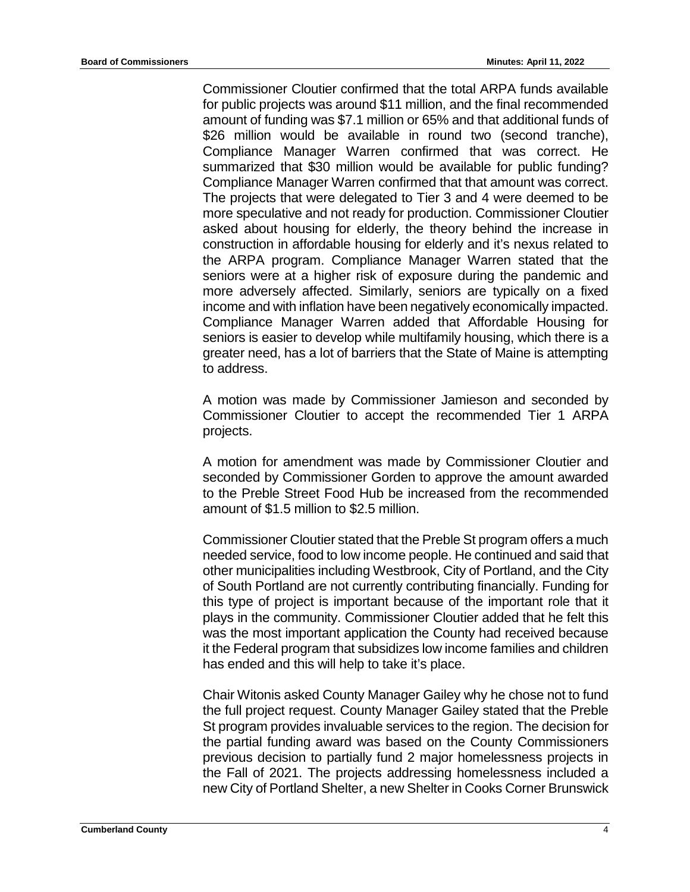Commissioner Cloutier confirmed that the total ARPA funds available for public projects was around \$11 million, and the final recommended amount of funding was \$7.1 million or 65% and that additional funds of \$26 million would be available in round two (second tranche), Compliance Manager Warren confirmed that was correct. He summarized that \$30 million would be available for public funding? Compliance Manager Warren confirmed that that amount was correct. The projects that were delegated to Tier 3 and 4 were deemed to be more speculative and not ready for production. Commissioner Cloutier asked about housing for elderly, the theory behind the increase in construction in affordable housing for elderly and it's nexus related to the ARPA program. Compliance Manager Warren stated that the seniors were at a higher risk of exposure during the pandemic and more adversely affected. Similarly, seniors are typically on a fixed income and with inflation have been negatively economically impacted. Compliance Manager Warren added that Affordable Housing for seniors is easier to develop while multifamily housing, which there is a greater need, has a lot of barriers that the State of Maine is attempting to address.

A motion was made by Commissioner Jamieson and seconded by Commissioner Cloutier to accept the recommended Tier 1 ARPA projects.

A motion for amendment was made by Commissioner Cloutier and seconded by Commissioner Gorden to approve the amount awarded to the Preble Street Food Hub be increased from the recommended amount of \$1.5 million to \$2.5 million.

Commissioner Cloutier stated that the Preble St program offers a much needed service, food to low income people. He continued and said that other municipalities including Westbrook, City of Portland, and the City of South Portland are not currently contributing financially. Funding for this type of project is important because of the important role that it plays in the community. Commissioner Cloutier added that he felt this was the most important application the County had received because it the Federal program that subsidizes low income families and children has ended and this will help to take it's place.

Chair Witonis asked County Manager Gailey why he chose not to fund the full project request. County Manager Gailey stated that the Preble St program provides invaluable services to the region. The decision for the partial funding award was based on the County Commissioners previous decision to partially fund 2 major homelessness projects in the Fall of 2021. The projects addressing homelessness included a new City of Portland Shelter, a new Shelter in Cooks Corner Brunswick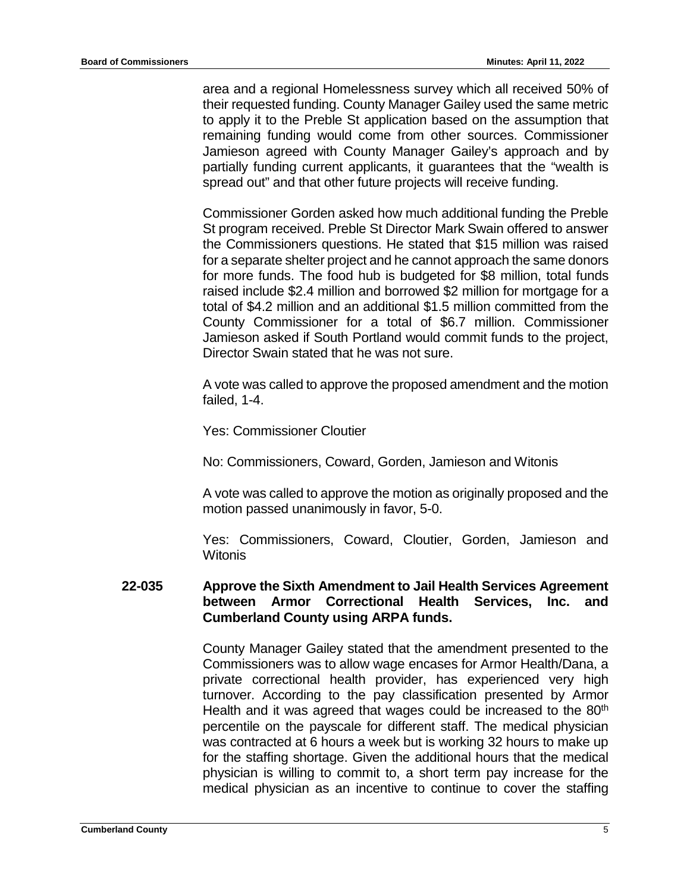area and a regional Homelessness survey which all received 50% of their requested funding. County Manager Gailey used the same metric to apply it to the Preble St application based on the assumption that remaining funding would come from other sources. Commissioner Jamieson agreed with County Manager Gailey's approach and by partially funding current applicants, it guarantees that the "wealth is spread out" and that other future projects will receive funding.

Commissioner Gorden asked how much additional funding the Preble St program received. Preble St Director Mark Swain offered to answer the Commissioners questions. He stated that \$15 million was raised for a separate shelter project and he cannot approach the same donors for more funds. The food hub is budgeted for \$8 million, total funds raised include \$2.4 million and borrowed \$2 million for mortgage for a total of \$4.2 million and an additional \$1.5 million committed from the County Commissioner for a total of \$6.7 million. Commissioner Jamieson asked if South Portland would commit funds to the project, Director Swain stated that he was not sure.

A vote was called to approve the proposed amendment and the motion failed, 1-4.

Yes: Commissioner Cloutier

No: Commissioners, Coward, Gorden, Jamieson and Witonis

A vote was called to approve the motion as originally proposed and the motion passed unanimously in favor, 5-0.

Yes: Commissioners, Coward, Cloutier, Gorden, Jamieson and **Witonis** 

#### **22-035 Approve the Sixth Amendment to Jail Health Services Agreement between Armor Correctional Health Services, Inc. and Cumberland County using ARPA funds.**

County Manager Gailey stated that the amendment presented to the Commissioners was to allow wage encases for Armor Health/Dana, a private correctional health provider, has experienced very high turnover. According to the pay classification presented by Armor Health and it was agreed that wages could be increased to the 80<sup>th</sup> percentile on the payscale for different staff. The medical physician was contracted at 6 hours a week but is working 32 hours to make up for the staffing shortage. Given the additional hours that the medical physician is willing to commit to, a short term pay increase for the medical physician as an incentive to continue to cover the staffing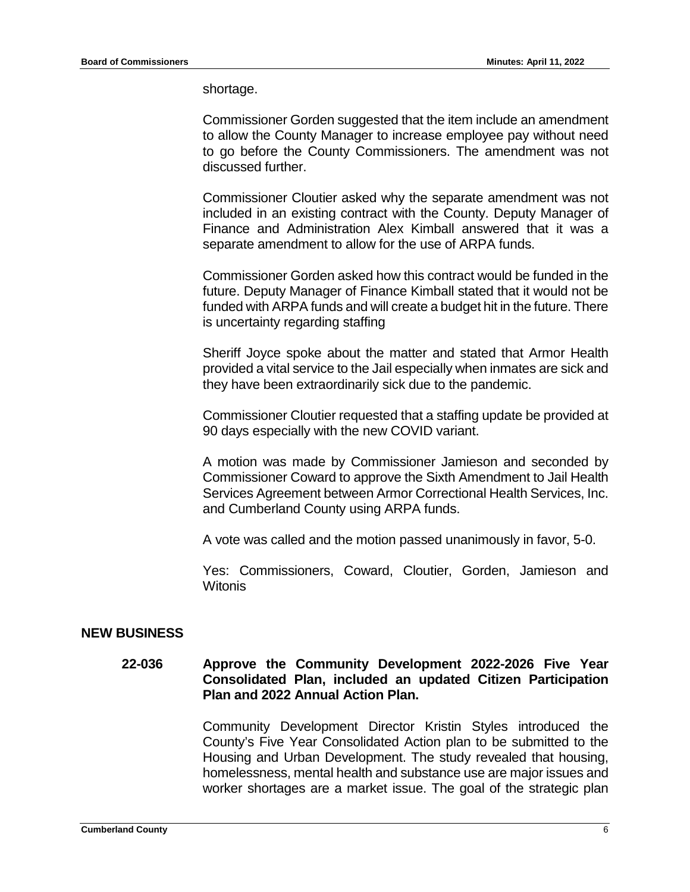shortage.

Commissioner Gorden suggested that the item include an amendment to allow the County Manager to increase employee pay without need to go before the County Commissioners. The amendment was not discussed further.

Commissioner Cloutier asked why the separate amendment was not included in an existing contract with the County. Deputy Manager of Finance and Administration Alex Kimball answered that it was a separate amendment to allow for the use of ARPA funds.

Commissioner Gorden asked how this contract would be funded in the future. Deputy Manager of Finance Kimball stated that it would not be funded with ARPA funds and will create a budget hit in the future. There is uncertainty regarding staffing

Sheriff Joyce spoke about the matter and stated that Armor Health provided a vital service to the Jail especially when inmates are sick and they have been extraordinarily sick due to the pandemic.

Commissioner Cloutier requested that a staffing update be provided at 90 days especially with the new COVID variant.

A motion was made by Commissioner Jamieson and seconded by Commissioner Coward to approve the Sixth Amendment to Jail Health Services Agreement between Armor Correctional Health Services, Inc. and Cumberland County using ARPA funds.

A vote was called and the motion passed unanimously in favor, 5-0.

Yes: Commissioners, Coward, Cloutier, Gorden, Jamieson and Witonis

#### **NEW BUSINESS**

#### **22-036 Approve the Community Development 2022-2026 Five Year Consolidated Plan, included an updated Citizen Participation Plan and 2022 Annual Action Plan.**

Community Development Director Kristin Styles introduced the County's Five Year Consolidated Action plan to be submitted to the Housing and Urban Development. The study revealed that housing, homelessness, mental health and substance use are major issues and worker shortages are a market issue. The goal of the strategic plan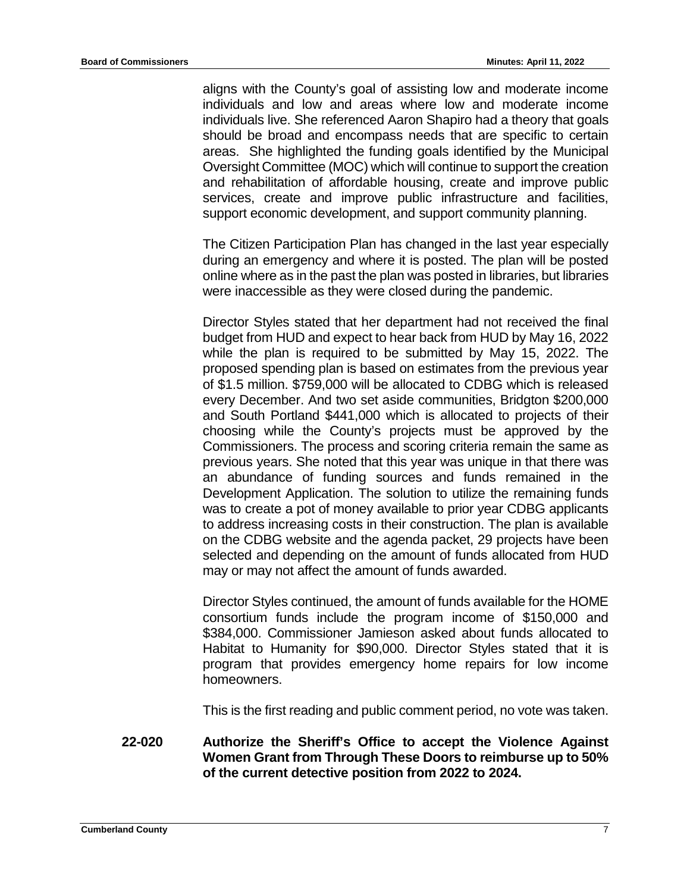aligns with the County's goal of assisting low and moderate income individuals and low and areas where low and moderate income individuals live. She referenced Aaron Shapiro had a theory that goals should be broad and encompass needs that are specific to certain areas. She highlighted the funding goals identified by the Municipal Oversight Committee (MOC) which will continue to support the creation and rehabilitation of affordable housing, create and improve public services, create and improve public infrastructure and facilities, support economic development, and support community planning.

The Citizen Participation Plan has changed in the last year especially during an emergency and where it is posted. The plan will be posted online where as in the past the plan was posted in libraries, but libraries were inaccessible as they were closed during the pandemic.

Director Styles stated that her department had not received the final budget from HUD and expect to hear back from HUD by May 16, 2022 while the plan is required to be submitted by May 15, 2022. The proposed spending plan is based on estimates from the previous year of \$1.5 million. \$759,000 will be allocated to CDBG which is released every December. And two set aside communities, Bridgton \$200,000 and South Portland \$441,000 which is allocated to projects of their choosing while the County's projects must be approved by the Commissioners. The process and scoring criteria remain the same as previous years. She noted that this year was unique in that there was an abundance of funding sources and funds remained in the Development Application. The solution to utilize the remaining funds was to create a pot of money available to prior year CDBG applicants to address increasing costs in their construction. The plan is available on the CDBG website and the agenda packet, 29 projects have been selected and depending on the amount of funds allocated from HUD may or may not affect the amount of funds awarded.

Director Styles continued, the amount of funds available for the HOME consortium funds include the program income of \$150,000 and \$384,000. Commissioner Jamieson asked about funds allocated to Habitat to Humanity for \$90,000. Director Styles stated that it is program that provides emergency home repairs for low income homeowners.

This is the first reading and public comment period, no vote was taken.

**22-020 Authorize the Sheriff's Office to accept the Violence Against Women Grant from Through These Doors to reimburse up to 50% of the current detective position from 2022 to 2024.**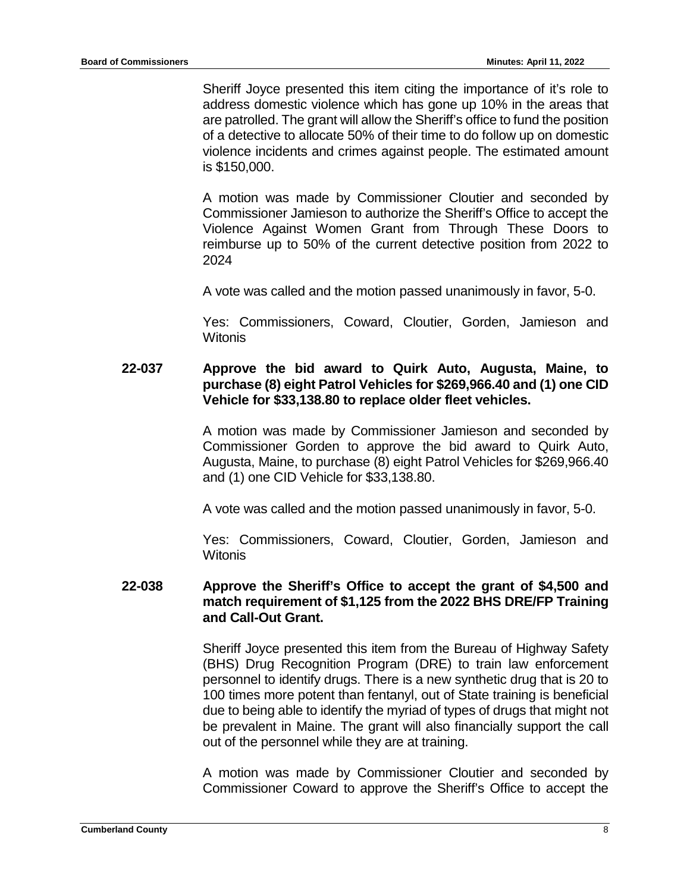Sheriff Joyce presented this item citing the importance of it's role to address domestic violence which has gone up 10% in the areas that are patrolled. The grant will allow the Sheriff's office to fund the position of a detective to allocate 50% of their time to do follow up on domestic violence incidents and crimes against people. The estimated amount is \$150,000.

A motion was made by Commissioner Cloutier and seconded by Commissioner Jamieson to authorize the Sheriff's Office to accept the Violence Against Women Grant from Through These Doors to reimburse up to 50% of the current detective position from 2022 to 2024

A vote was called and the motion passed unanimously in favor, 5-0.

Yes: Commissioners, Coward, Cloutier, Gorden, Jamieson and **Witonis** 

### **22-037 Approve the bid award to Quirk Auto, Augusta, Maine, to purchase (8) eight Patrol Vehicles for \$269,966.40 and (1) one CID Vehicle for \$33,138.80 to replace older fleet vehicles.**

A motion was made by Commissioner Jamieson and seconded by Commissioner Gorden to approve the bid award to Quirk Auto, Augusta, Maine, to purchase (8) eight Patrol Vehicles for \$269,966.40 and (1) one CID Vehicle for \$33,138.80.

A vote was called and the motion passed unanimously in favor, 5-0.

Yes: Commissioners, Coward, Cloutier, Gorden, Jamieson and **Witonis** 

#### **22-038 Approve the Sheriff's Office to accept the grant of \$4,500 and match requirement of \$1,125 from the 2022 BHS DRE/FP Training and Call-Out Grant.**

Sheriff Joyce presented this item from the Bureau of Highway Safety (BHS) Drug Recognition Program (DRE) to train law enforcement personnel to identify drugs. There is a new synthetic drug that is 20 to 100 times more potent than fentanyl, out of State training is beneficial due to being able to identify the myriad of types of drugs that might not be prevalent in Maine. The grant will also financially support the call out of the personnel while they are at training.

A motion was made by Commissioner Cloutier and seconded by Commissioner Coward to approve the Sheriff's Office to accept the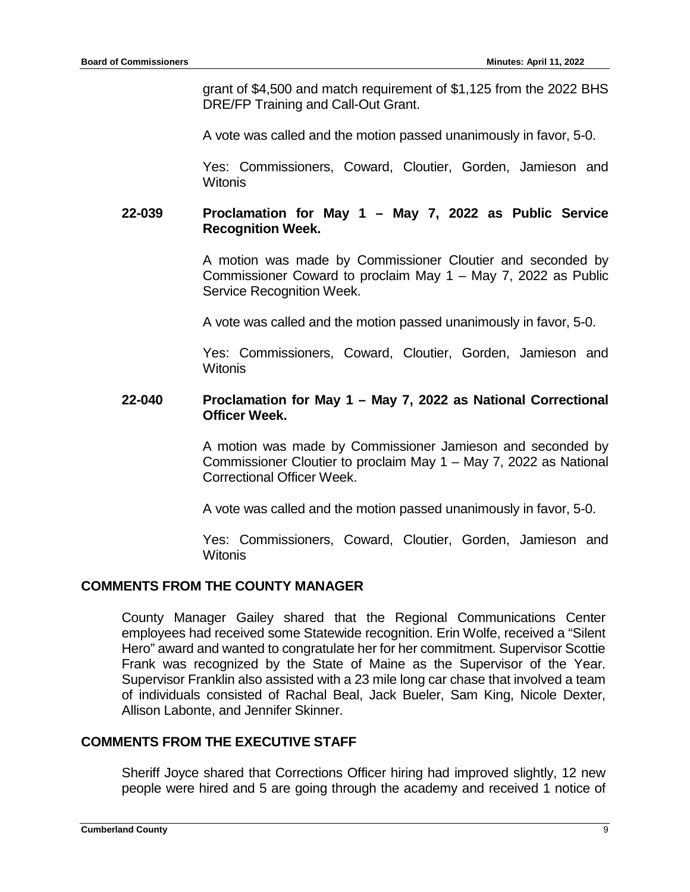grant of \$4,500 and match requirement of \$1,125 from the 2022 BHS DRE/FP Training and Call-Out Grant.

A vote was called and the motion passed unanimously in favor, 5-0.

Yes: Commissioners, Coward, Cloutier, Gorden, Jamieson and **Witonis** 

### **22-039 Proclamation for May 1 – May 7, 2022 as Public Service Recognition Week.**

A motion was made by Commissioner Cloutier and seconded by Commissioner Coward to proclaim May 1 – May 7, 2022 as Public Service Recognition Week.

A vote was called and the motion passed unanimously in favor, 5-0.

Yes: Commissioners, Coward, Cloutier, Gorden, Jamieson and **Witonis** 

#### **22-040 Proclamation for May 1 – May 7, 2022 as National Correctional Officer Week.**

A motion was made by Commissioner Jamieson and seconded by Commissioner Cloutier to proclaim May 1 – May 7, 2022 as National Correctional Officer Week.

A vote was called and the motion passed unanimously in favor, 5-0.

Yes: Commissioners, Coward, Cloutier, Gorden, Jamieson and Witonis

## **COMMENTS FROM THE COUNTY MANAGER**

County Manager Gailey shared that the Regional Communications Center employees had received some Statewide recognition. Erin Wolfe, received a "Silent Hero" award and wanted to congratulate her for her commitment. Supervisor Scottie Frank was recognized by the State of Maine as the Supervisor of the Year. Supervisor Franklin also assisted with a 23 mile long car chase that involved a team of individuals consisted of Rachal Beal, Jack Bueler, Sam King, Nicole Dexter, Allison Labonte, and Jennifer Skinner.

## **COMMENTS FROM THE EXECUTIVE STAFF**

Sheriff Joyce shared that Corrections Officer hiring had improved slightly, 12 new people were hired and 5 are going through the academy and received 1 notice of